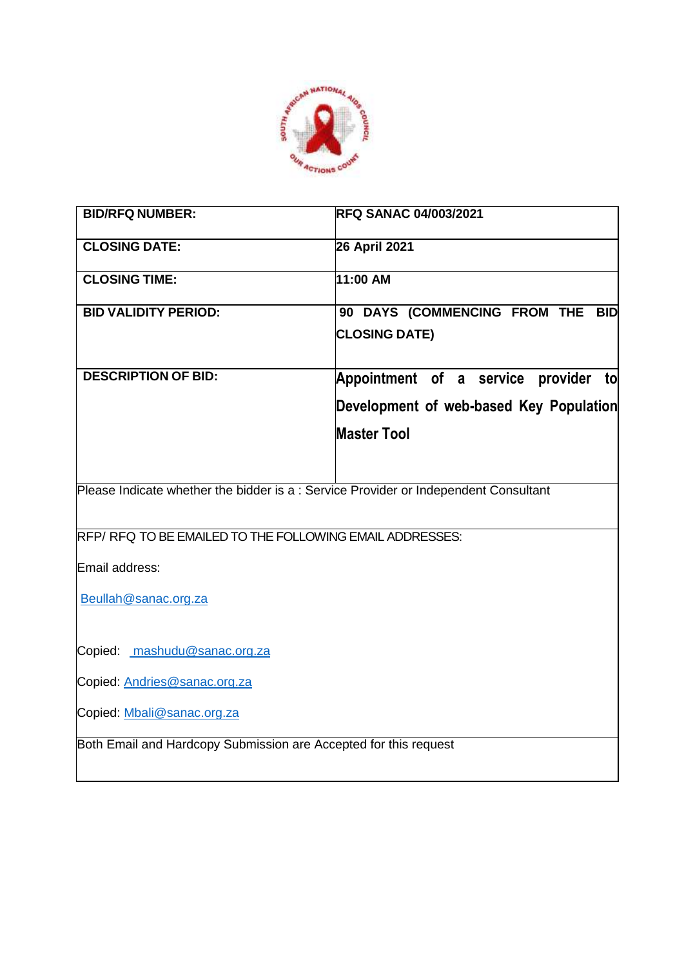

| <b>BID/RFQ NUMBER:</b>                                                               | <b>RFQ SANAC 04/003/2021</b>            |  |  |  |
|--------------------------------------------------------------------------------------|-----------------------------------------|--|--|--|
| <b>CLOSING DATE:</b>                                                                 | 26 April 2021                           |  |  |  |
| <b>CLOSING TIME:</b>                                                                 | 11:00 AM                                |  |  |  |
| <b>BID VALIDITY PERIOD:</b>                                                          | 90 DAYS (COMMENCING FROM THE BID        |  |  |  |
|                                                                                      | <b>CLOSING DATE)</b>                    |  |  |  |
| <b>DESCRIPTION OF BID:</b>                                                           | Appointment of a service provider to    |  |  |  |
|                                                                                      | Development of web-based Key Population |  |  |  |
|                                                                                      | <b>Master Tool</b>                      |  |  |  |
|                                                                                      |                                         |  |  |  |
| Please Indicate whether the bidder is a : Service Provider or Independent Consultant |                                         |  |  |  |
| RFP/RFQ TO BE EMAILED TO THE FOLLOWING EMAIL ADDRESSES:                              |                                         |  |  |  |
| Email address:                                                                       |                                         |  |  |  |
| Beullah@sanac.org.za                                                                 |                                         |  |  |  |
| Copied: mashudu@sanac.org.za                                                         |                                         |  |  |  |
| Copied: Andries@sanac.org.za                                                         |                                         |  |  |  |
| Copied: Mbali@sanac.org.za                                                           |                                         |  |  |  |
| Both Email and Hardcopy Submission are Accepted for this request                     |                                         |  |  |  |
|                                                                                      |                                         |  |  |  |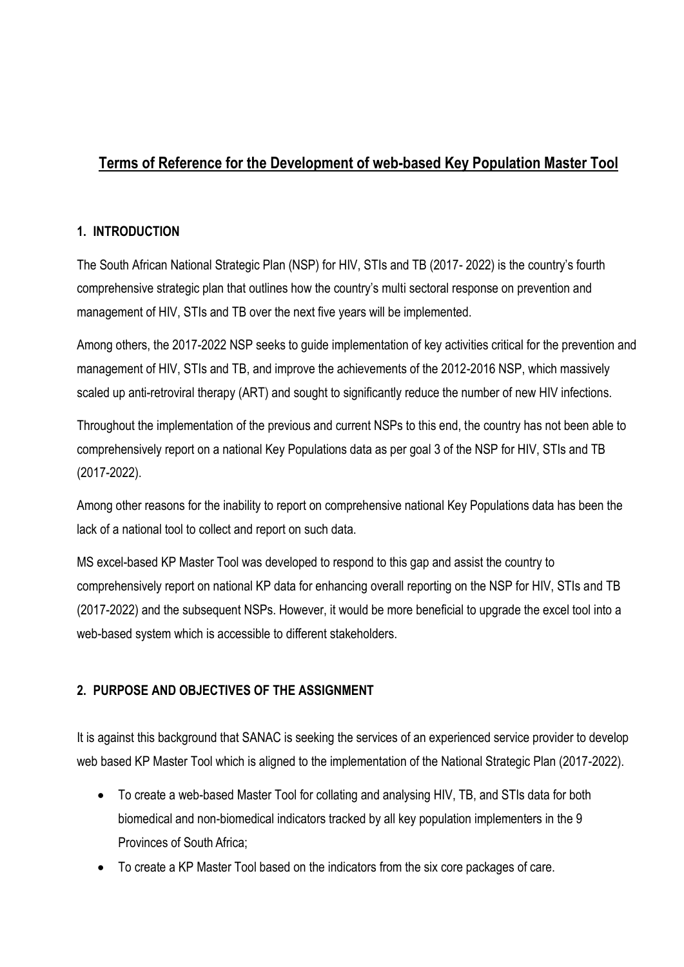# **Terms of Reference for the Development of web-based Key Population Master Tool**

## **1. INTRODUCTION**

The South African National Strategic Plan (NSP) for HIV, STIs and TB (2017- 2022) is the country's fourth comprehensive strategic plan that outlines how the country's multi sectoral response on prevention and management of HIV, STIs and TB over the next five years will be implemented.

Among others, the 2017-2022 NSP seeks to guide implementation of key activities critical for the prevention and management of HIV, STIs and TB, and improve the achievements of the 2012-2016 NSP, which massively scaled up anti-retroviral therapy (ART) and sought to significantly reduce the number of new HIV infections.

Throughout the implementation of the previous and current NSPs to this end, the country has not been able to comprehensively report on a national Key Populations data as per goal 3 of the NSP for HIV, STIs and TB (2017-2022).

Among other reasons for the inability to report on comprehensive national Key Populations data has been the lack of a national tool to collect and report on such data.

MS excel-based KP Master Tool was developed to respond to this gap and assist the country to comprehensively report on national KP data for enhancing overall reporting on the NSP for HIV, STIs and TB (2017-2022) and the subsequent NSPs. However, it would be more beneficial to upgrade the excel tool into a web-based system which is accessible to different stakeholders.

## **2. PURPOSE AND OBJECTIVES OF THE ASSIGNMENT**

It is against this background that SANAC is seeking the services of an experienced service provider to develop web based KP Master Tool which is aligned to the implementation of the National Strategic Plan (2017-2022).

- To create a web-based Master Tool for collating and analysing HIV, TB, and STIs data for both biomedical and non-biomedical indicators tracked by all key population implementers in the 9 Provinces of South Africa;
- To create a KP Master Tool based on the indicators from the six core packages of care.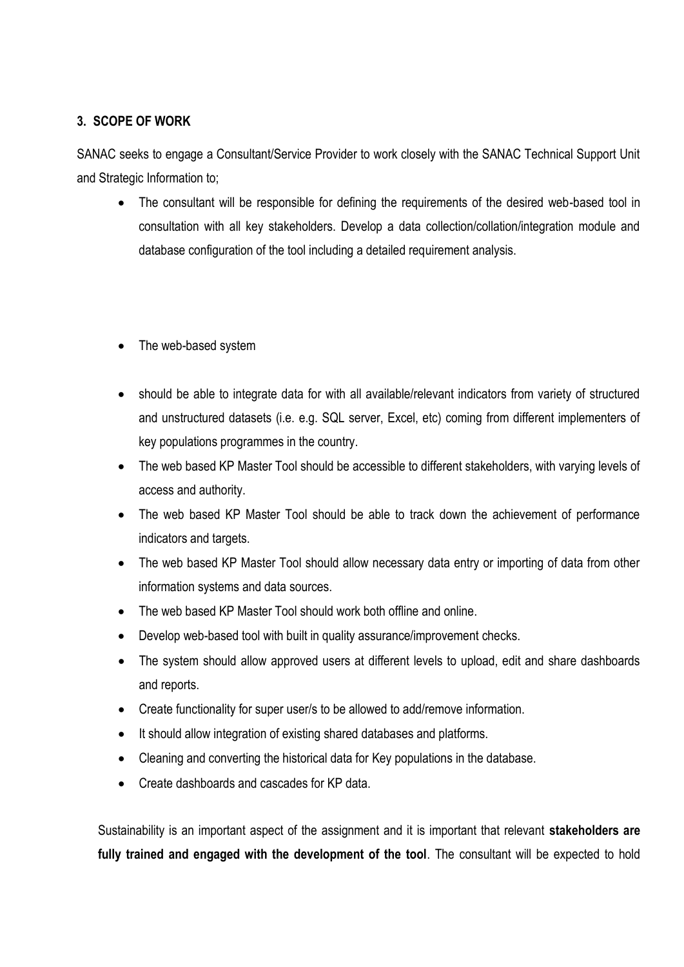### **3. SCOPE OF WORK**

SANAC seeks to engage a Consultant/Service Provider to work closely with the SANAC Technical Support Unit and Strategic Information to;

- The consultant will be responsible for defining the requirements of the desired web-based tool in consultation with all key stakeholders. Develop a data collection/collation/integration module and database configuration of the tool including a detailed requirement analysis.
- The web-based system
- should be able to integrate data for with all available/relevant indicators from variety of structured and unstructured datasets (i.e. e.g. SQL server, Excel, etc) coming from different implementers of key populations programmes in the country.
- The web based KP Master Tool should be accessible to different stakeholders, with varying levels of access and authority.
- The web based KP Master Tool should be able to track down the achievement of performance indicators and targets.
- The web based KP Master Tool should allow necessary data entry or importing of data from other information systems and data sources.
- The web based KP Master Tool should work both offline and online.
- Develop web-based tool with built in quality assurance/improvement checks.
- The system should allow approved users at different levels to upload, edit and share dashboards and reports.
- Create functionality for super user/s to be allowed to add/remove information.
- It should allow integration of existing shared databases and platforms.
- Cleaning and converting the historical data for Key populations in the database.
- Create dashboards and cascades for KP data.

Sustainability is an important aspect of the assignment and it is important that relevant **stakeholders are fully trained and engaged with the development of the tool**. The consultant will be expected to hold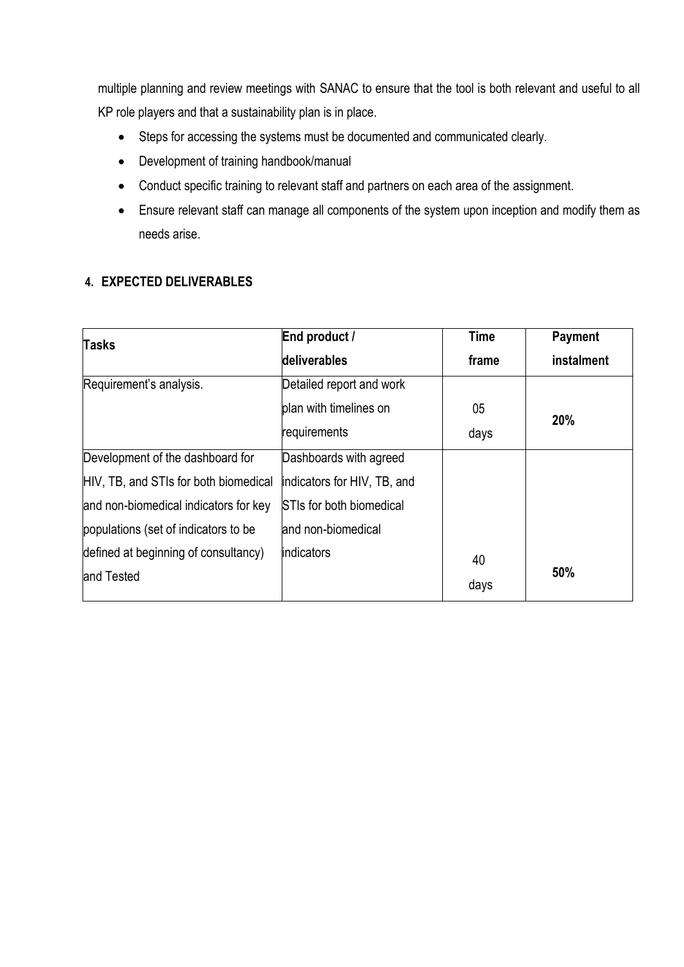multiple planning and review meetings with SANAC to ensure that the tool is both relevant and useful to all KP role players and that a sustainability plan is in place.

- Steps for accessing the systems must be documented and communicated clearly.
- Development of training handbook/manual
- Conduct specific training to relevant staff and partners on each area of the assignment.
- Ensure relevant staff can manage all components of the system upon inception and modify them as needs arise.

#### **4. EXPECTED DELIVERABLES**

| <b>Tasks</b>                          | End product /                   | Time  | Payment    |
|---------------------------------------|---------------------------------|-------|------------|
|                                       | deliverables                    | frame | instalment |
| Requirement's analysis.               | Detailed report and work        |       |            |
|                                       | plan with timelines on          | 05    | <b>20%</b> |
|                                       | requirements                    | days  |            |
| Development of the dashboard for      | Dashboards with agreed          |       |            |
| HIV, TB, and STIs for both biomedical | indicators for HIV, TB, and     |       |            |
| and non-biomedical indicators for key | <b>STIs for both biomedical</b> |       |            |
| populations (set of indicators to be  | and non-biomedical              |       |            |
| defined at beginning of consultancy)  | <i>indicators</i>               | 40    |            |
| and Tested                            |                                 | days  | 50%        |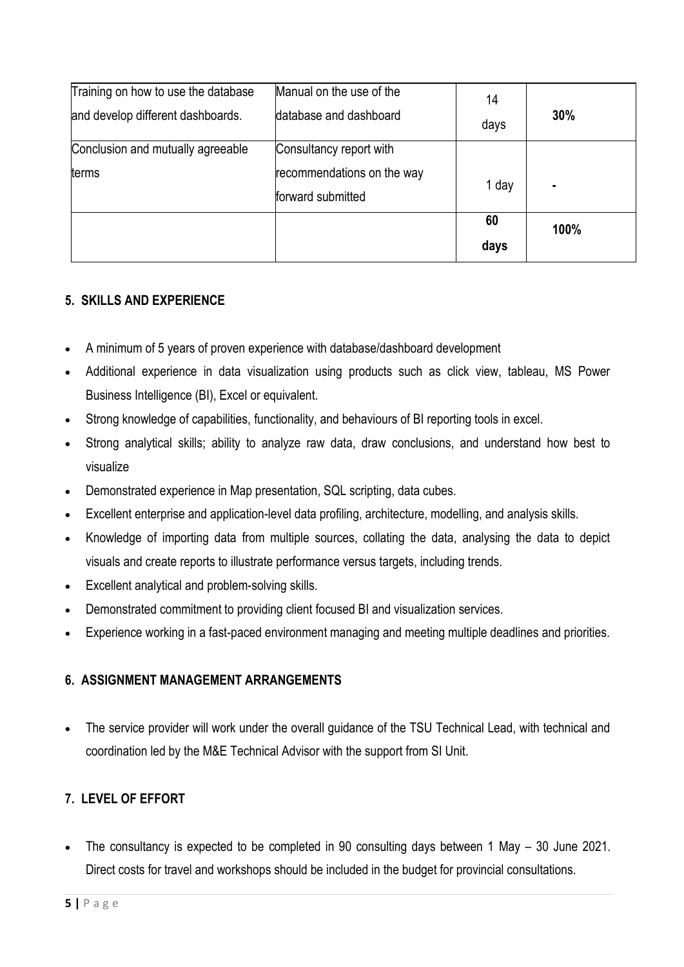| Training on how to use the database | Manual on the use of the   | 14    |      |
|-------------------------------------|----------------------------|-------|------|
| and develop different dashboards.   | database and dashboard     | days  | 30%  |
| Conclusion and mutually agreeable   | Consultancy report with    |       |      |
| terms                               | recommendations on the way |       |      |
|                                     | forward submitted          | 1 day |      |
|                                     |                            | 60    | 100% |
|                                     |                            | days  |      |

## **5. SKILLS AND EXPERIENCE**

- A minimum of 5 years of proven experience with database/dashboard development
- Additional experience in data visualization using products such as click view, tableau, MS Power Business Intelligence (BI), Excel or equivalent.
- Strong knowledge of capabilities, functionality, and behaviours of BI reporting tools in excel.
- Strong analytical skills; ability to analyze raw data, draw conclusions, and understand how best to visualize
- Demonstrated experience in Map presentation, SQL scripting, data cubes.
- Excellent enterprise and application-level data profiling, architecture, modelling, and analysis skills.
- Knowledge of importing data from multiple sources, collating the data, analysing the data to depict visuals and create reports to illustrate performance versus targets, including trends.
- Excellent analytical and problem-solving skills.
- Demonstrated commitment to providing client focused BI and visualization services.
- Experience working in a fast-paced environment managing and meeting multiple deadlines and priorities.

#### **6. ASSIGNMENT MANAGEMENT ARRANGEMENTS**

• The service provider will work under the overall guidance of the TSU Technical Lead, with technical and coordination led by the M&E Technical Advisor with the support from SI Unit.

#### **7. LEVEL OF EFFORT**

 The consultancy is expected to be completed in 90 consulting days between 1 May – 30 June 2021. Direct costs for travel and workshops should be included in the budget for provincial consultations.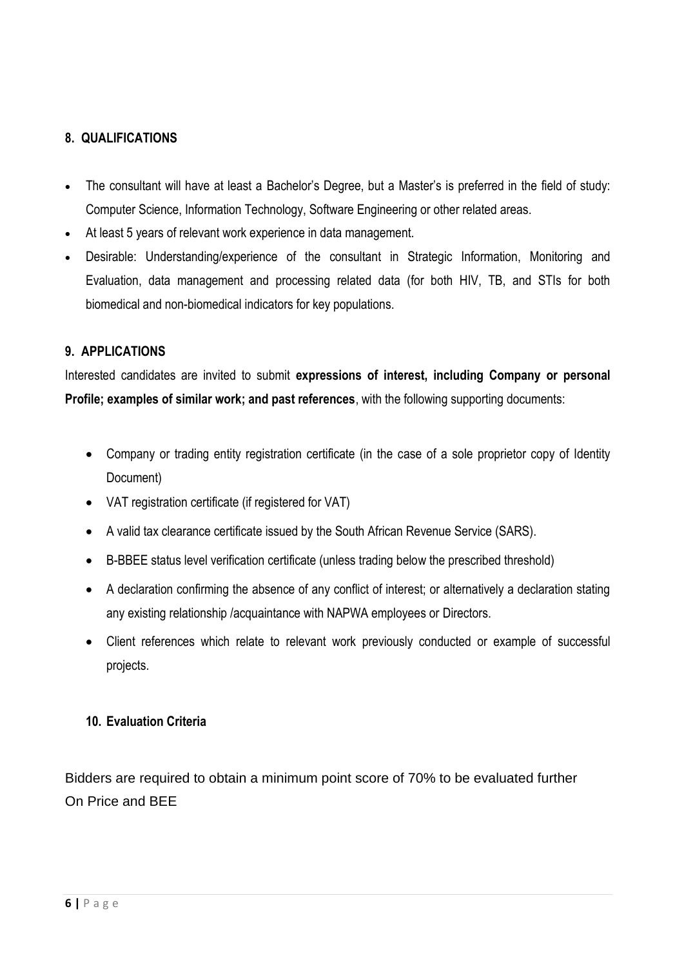### **8. QUALIFICATIONS**

- The consultant will have at least a Bachelor's Degree, but a Master's is preferred in the field of study: Computer Science, Information Technology, Software Engineering or other related areas.
- At least 5 years of relevant work experience in data management.
- Desirable: Understanding/experience of the consultant in Strategic Information, Monitoring and Evaluation, data management and processing related data (for both HIV, TB, and STIs for both biomedical and non-biomedical indicators for key populations.

#### **9. APPLICATIONS**

Interested candidates are invited to submit **expressions of interest, including Company or personal Profile; examples of similar work; and past references**, with the following supporting documents:

- Company or trading entity registration certificate (in the case of a sole proprietor copy of Identity Document)
- VAT registration certificate (if registered for VAT)
- A valid tax clearance certificate issued by the South African Revenue Service (SARS).
- B-BBEE status level verification certificate (unless trading below the prescribed threshold)
- A declaration confirming the absence of any conflict of interest; or alternatively a declaration stating any existing relationship /acquaintance with NAPWA employees or Directors.
- Client references which relate to relevant work previously conducted or example of successful projects.

#### **10. Evaluation Criteria**

Bidders are required to obtain a minimum point score of 70% to be evaluated further On Price and BEE